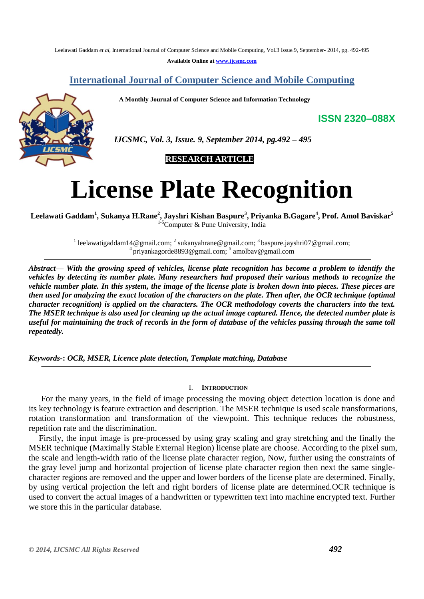Leelawati Gaddam *et al*, International Journal of Computer Science and Mobile Computing, Vol.3 Issue.9, September- 2014, pg. 492-495

**Available Online at [www.ijcsmc.com](http://www.ijcsmc.com/)**

## **International Journal of Computer Science and Mobile Computing**

 **A Monthly Journal of Computer Science and Information Technology**

**ISSN 2320–088X**



 *IJCSMC, Vol. 3, Issue. 9, September 2014, pg.492 – 495*

 **RESEARCH ARTICLE**

# **License Plate Recognition**

**Leelawati Gaddam<sup>1</sup> , Sukanya H.Rane<sup>2</sup> , Jayshri Kishan Baspure<sup>3</sup> , Priyanka B.Gagare<sup>4</sup> , Prof. Amol Baviskar<sup>5</sup>**  ${}^5$ Computer & Pune University, India

> <sup>1</sup> [leelawatigaddam14@gmail.com;](mailto:leelawatigaddam14@gmail.com) <sup>2</sup> [sukanyahrane@gmail.com;](mailto:%20sukanyahrane@gmail.com) <sup>3</sup> [baspure.jayshri07@gmail.com;](mailto:baspure.jayshri07@gmail.com) <sup>4</sup> [priyankagorde8893@gmail.com;](mailto:priyankagorde8893@gmail.com)<sup>5</sup> [amolbav@gmail.com](mailto:amolbav@gmail.com)

*Abstract— With the growing speed of vehicles, license plate recognition has become a problem to identify the vehicles by detecting its number plate. Many researchers had proposed their various methods to recognize the vehicle number plate. In this system, the image of the license plate is broken down into pieces. These pieces are then used for analyzing the exact location of the characters on the plate. Then after, the OCR technique (optimal character recognition) is applied on the characters. The OCR methodology coverts the characters into the text. The MSER technique is also used for cleaning up the actual image captured. Hence, the detected number plate is useful for maintaining the track of records in the form of database of the vehicles passing through the same toll repeatedly.*

## *Keywords-***:** *OCR, MSER, Licence plate detection, Template matching, Database*

## I. **INTRODUCTION**

For the many years, in the field of image processing the moving object detection location is done and its key technology is feature extraction and description. The MSER technique is used scale transformations, rotation transformation and transformation of the viewpoint. This technique reduces the robustness, repetition rate and the discrimination.

Firstly, the input image is pre-processed by using gray scaling and gray stretching and the finally the MSER technique (Maximally Stable External Region) license plate are choose. According to the pixel sum, the scale and length-width ratio of the license plate character region, Now, further using the constraints of the gray level jump and horizontal projection of license plate character region then next the same singlecharacter regions are removed and the upper and lower borders of the license plate are determined. Finally, by using vertical projection the left and right borders of license plate are determined.OCR technique is used to convert the actual images of a handwritten or typewritten text into machine encrypted text. Further we store this in the particular database.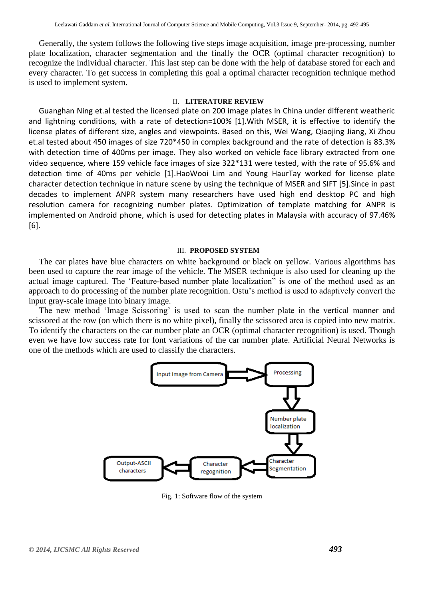Generally, the system follows the following five steps image acquisition, image pre-processing, number plate localization, character segmentation and the finally the OCR (optimal character recognition) to recognize the individual character. This last step can be done with the help of database stored for each and every character. To get success in completing this goal a optimal character recognition technique method is used to implement system.

#### II. **LITERATURE REVIEW**

Guanghan Ning et.al tested the licensed plate on 200 image plates in China under different weatheric and lightning conditions, with a rate of detection=100% [1].With MSER, it is effective to identify the license plates of different size, angles and viewpoints. Based on this, Wei Wang, Qiaojing Jiang, Xi Zhou et.al tested about 450 images of size 720\*450 in complex background and the rate of detection is 83.3% with detection time of 400ms per image. They also worked on vehicle face library extracted from one video sequence, where 159 vehicle face images of size 322\*131 were tested, with the rate of 95.6% and detection time of 40ms per vehicle [1].HaoWooi Lim and Young HaurTay worked for license plate character detection technique in nature scene by using the technique of MSER and SIFT [5].Since in past decades to implement ANPR system many researchers have used high end desktop PC and high resolution camera for recognizing number plates. Optimization of template matching for ANPR is implemented on Android phone, which is used for detecting plates in Malaysia with accuracy of 97.46% [6].

#### III. **PROPOSED SYSTEM**

The car plates have blue characters on white background or black on yellow. Various algorithms has been used to capture the rear image of the vehicle. The MSER technique is also used for cleaning up the actual image captured. The "Feature-based number plate localization" is one of the method used as an approach to do processing of the number plate recognition. Ostu"s method is used to adaptively convert the input gray-scale image into binary image.

The new method 'Image Scissoring' is used to scan the number plate in the vertical manner and scissored at the row (on which there is no white pixel), finally the scissored area is copied into new matrix. To identify the characters on the car number plate an OCR (optimal character recognition) is used. Though even we have low success rate for font variations of the car number plate. Artificial Neural Networks is one of the methods which are used to classify the characters.



Fig. 1: Software flow of the system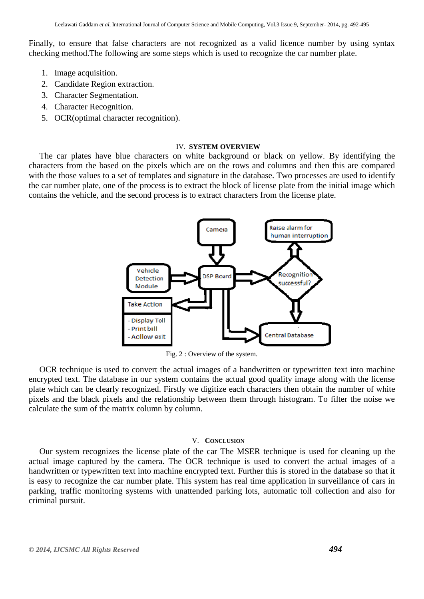Finally, to ensure that false characters are not recognized as a valid licence number by using syntax checking method.The following are some steps which is used to recognize the car number plate.

- 1. Image acquisition.
- 2. Candidate Region extraction.
- 3. Character Segmentation.
- 4. Character Recognition.
- 5. OCR(optimal character recognition).

### IV. **SYSTEM OVERVIEW**

 The car plates have blue characters on white background or black on yellow. By identifying the characters from the based on the pixels which are on the rows and columns and then this are compared with the those values to a set of templates and signature in the database. Two processes are used to identify the car number plate, one of the process is to extract the block of license plate from the initial image which contains the vehicle, and the second process is to extract characters from the license plate.



Fig. 2 : Overview of the system.

 OCR technique is used to convert the actual images of a handwritten or typewritten text into machine encrypted text. The database in our system contains the actual good quality image along with the license plate which can be clearly recognized. Firstly we digitize each characters then obtain the number of white pixels and the black pixels and the relationship between them through histogram. To filter the noise we calculate the sum of the matrix column by column.

## V. **CONCLUSION**

 Our system recognizes the license plate of the car The MSER technique is used for cleaning up the actual image captured by the camera. The OCR technique is used to convert the actual images of a handwritten or typewritten text into machine encrypted text. Further this is stored in the database so that it is easy to recognize the car number plate. This system has real time application in surveillance of cars in parking, traffic monitoring systems with unattended parking lots, automatic toll collection and also for criminal pursuit.